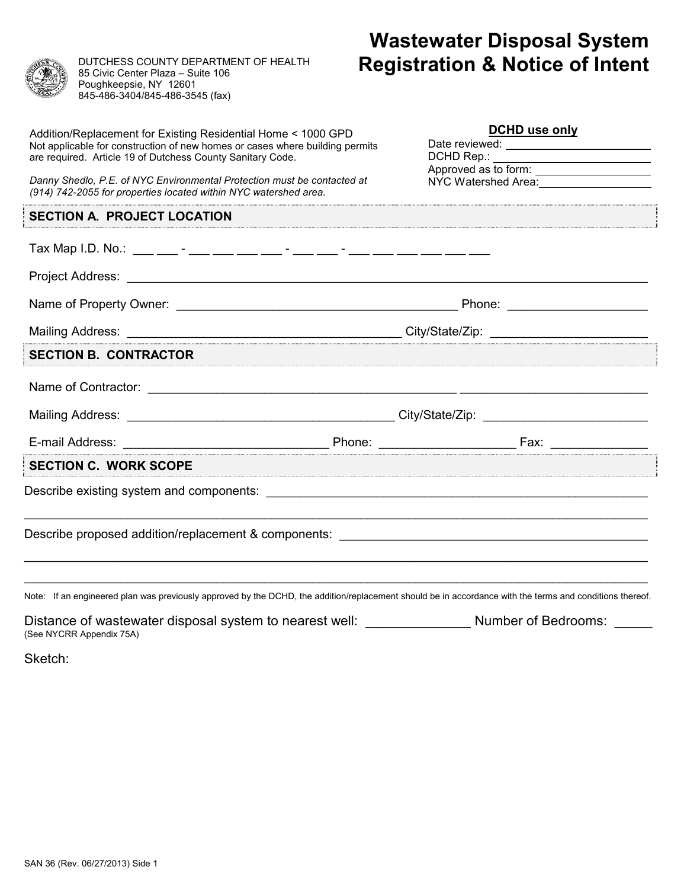

DUTCHESS COUNTY DEPARTMENT OF HEALTH 85 Civic Center Plaza – Suite 106 Poughkeepsie, NY 12601 845-486-3404/845-486-3545 (fax)

## **Wastewater Disposal System Registration & Notice of Intent**

| Addition/Replacement for Existing Residential Home < 1000 GPD<br>Not applicable for construction of new homes or cases where building permits<br>are required. Article 19 of Dutchess County Sanitary Code.<br>Danny Shedlo, P.E. of NYC Environmental Protection must be contacted at | DCHD use only<br>DCHD Rep.:<br>Approved as to form: ________________________<br>NYC Watershed Area: 1980 1991 1992 |
|----------------------------------------------------------------------------------------------------------------------------------------------------------------------------------------------------------------------------------------------------------------------------------------|--------------------------------------------------------------------------------------------------------------------|
| (914) 742-2055 for properties located within NYC watershed area.                                                                                                                                                                                                                       |                                                                                                                    |
| <b>SECTION A. PROJECT LOCATION</b>                                                                                                                                                                                                                                                     |                                                                                                                    |
|                                                                                                                                                                                                                                                                                        |                                                                                                                    |
|                                                                                                                                                                                                                                                                                        |                                                                                                                    |
|                                                                                                                                                                                                                                                                                        |                                                                                                                    |
|                                                                                                                                                                                                                                                                                        |                                                                                                                    |
| <b>SECTION B. CONTRACTOR</b>                                                                                                                                                                                                                                                           |                                                                                                                    |
|                                                                                                                                                                                                                                                                                        |                                                                                                                    |
|                                                                                                                                                                                                                                                                                        |                                                                                                                    |
|                                                                                                                                                                                                                                                                                        |                                                                                                                    |
| <b>SECTION C. WORK SCOPE</b>                                                                                                                                                                                                                                                           |                                                                                                                    |
|                                                                                                                                                                                                                                                                                        |                                                                                                                    |
|                                                                                                                                                                                                                                                                                        |                                                                                                                    |
| Note: If an engineered plan was previously approved by the DCHD, the addition/replacement should be in accordance with the terms and conditions thereof.                                                                                                                               |                                                                                                                    |
| Distance of wastewater disposal system to nearest well: _________________                                                                                                                                                                                                              | Number of Bedrooms:                                                                                                |

(See NYCRR Appendix 75A)

Sketch: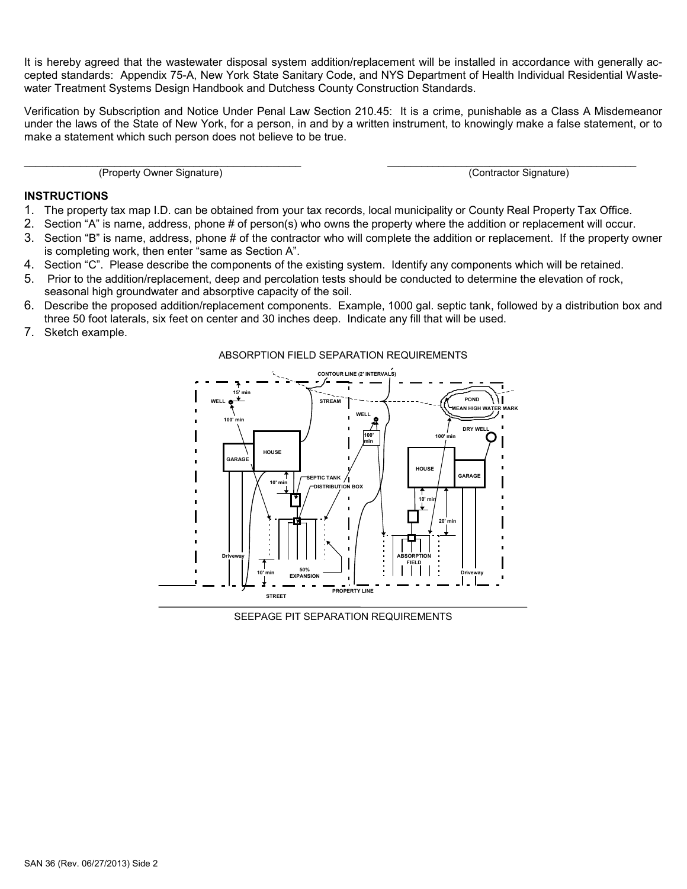It is hereby agreed that the wastewater disposal system addition/replacement will be installed in accordance with generally accepted standards: Appendix 75-A, New York State Sanitary Code, and NYS Department of Health Individual Residential Wastewater Treatment Systems Design Handbook and Dutchess County Construction Standards.

Verification by Subscription and Notice Under Penal Law Section 210.45: It is a crime, punishable as a Class A Misdemeanor under the laws of the State of New York, for a person, in and by a written instrument, to knowingly make a false statement, or to make a statement which such person does not believe to be true.

\_\_\_\_\_\_\_\_\_\_\_\_\_\_\_\_\_\_\_\_\_\_\_\_\_\_\_\_\_\_\_\_\_\_\_\_\_\_\_\_\_\_\_\_\_\_\_\_\_ \_\_\_\_\_\_\_\_\_\_\_\_\_\_\_\_\_\_\_\_\_\_\_\_\_\_\_\_\_\_\_\_\_\_\_\_\_\_\_\_\_\_\_\_ (Property Owner Signature) (Contractor Signature)

## **INSTRUCTIONS**

- 1. The property tax map I.D. can be obtained from your tax records, local municipality or County Real Property Tax Office.
- 2. Section "A" is name, address, phone # of person(s) who owns the property where the addition or replacement will occur.
- 3. Section "B" is name, address, phone # of the contractor who will complete the addition or replacement. If the property owner is completing work, then enter "same as Section A".
- 4. Section "C". Please describe the components of the existing system. Identify any components which will be retained.
- 5. Prior to the addition/replacement, deep and percolation tests should be conducted to determine the elevation of rock, seasonal high groundwater and absorptive capacity of the soil.
- 6. Describe the proposed addition/replacement components. Example, 1000 gal. septic tank, followed by a distribution box and three 50 foot laterals, six feet on center and 30 inches deep. Indicate any fill that will be used.
- 7. Sketch example.

## ABSORPTION FIELD SEPARATION REQUIREMENTS



SEEPAGE PIT SEPARATION REQUIREMENTS